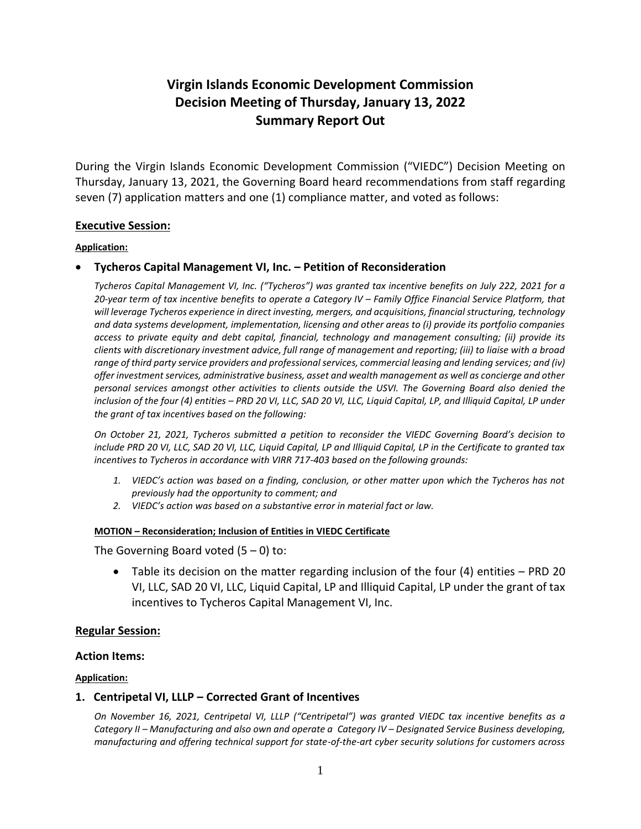# **Virgin Islands Economic Development Commission Decision Meeting of Thursday, January 13, 2022 Summary Report Out**

During the Virgin Islands Economic Development Commission ("VIEDC") Decision Meeting on Thursday, January 13, 2021, the Governing Board heard recommendations from staff regarding seven (7) application matters and one (1) compliance matter, and voted as follows:

### **Executive Session:**

#### **Application:**

### **Tycheros Capital Management VI, Inc. – Petition of Reconsideration**

*Tycheros Capital Management VI, Inc. ("Tycheros") was granted tax incentive benefits on July 222, 2021 for a*  20-year term of tax incentive benefits to operate a Category IV – Family Office Financial Service Platform, that *will leverage Tycheros experience in direct investing, mergers, and acquisitions, financial structuring, technology and data systems development, implementation, licensing and other areas to (i) provide its portfolio companies access to private equity and debt capital, financial, technology and management consulting; (ii) provide its clients with discretionary investment advice, full range of management and reporting; (iii) to liaise with a broad range of third party service providers and professional services, commercial leasing and lending services; and (iv) offer investment services, administrative business, asset and wealth management as well as concierge and other personal services amongst other activities to clients outside the USVI. The Governing Board also denied the inclusion of the four (4) entities – PRD 20 VI, LLC, SAD 20 VI, LLC, Liquid Capital, LP, and Illiquid Capital, LP under the grant of tax incentives based on the following:* 

*On October 21, 2021, Tycheros submitted a petition to reconsider the VIEDC Governing Board's decision to include PRD 20 VI, LLC, SAD 20 VI, LLC, Liquid Capital, LP and Illiquid Capital, LP in the Certificate to granted tax incentives to Tycheros in accordance with VIRR 717-403 based on the following grounds:* 

- *1. VIEDC's action was based on a finding, conclusion, or other matter upon which the Tycheros has not previously had the opportunity to comment; and*
- *2. VIEDC's action was based on a substantive error in material fact or law.*

#### **MOTION – Reconsideration; Inclusion of Entities in VIEDC Certificate**

The Governing Board voted  $(5 - 0)$  to:

 Table its decision on the matter regarding inclusion of the four (4) entities – PRD 20 VI, LLC, SAD 20 VI, LLC, Liquid Capital, LP and Illiquid Capital, LP under the grant of tax incentives to Tycheros Capital Management VI, Inc.

#### **Regular Session:**

#### **Action Items:**

#### **Application:**

#### **1. Centripetal VI, LLLP – Corrected Grant of Incentives**

*On November 16, 2021, Centripetal VI, LLLP ("Centripetal") was granted VIEDC tax incentive benefits as a Category II – Manufacturing and also own and operate a Category IV – Designated Service Business developing, manufacturing and offering technical support for state-of-the-art cyber security solutions for customers across*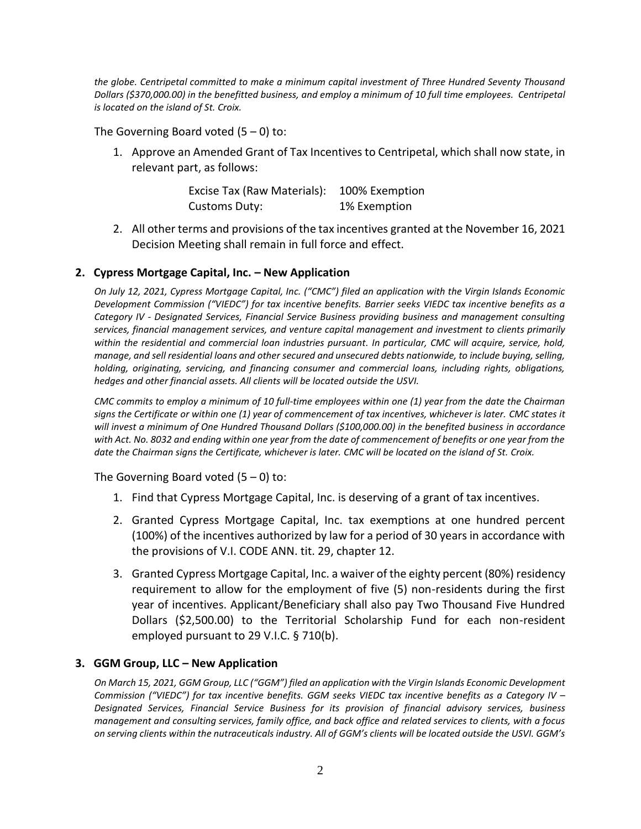*the globe. Centripetal committed to make a minimum capital investment of Three Hundred Seventy Thousand Dollars (\$370,000.00) in the benefitted business, and employ a minimum of 10 full time employees. Centripetal is located on the island of St. Croix.*

The Governing Board voted  $(5 - 0)$  to:

1. Approve an Amended Grant of Tax Incentives to Centripetal, which shall now state, in relevant part, as follows:

| Excise Tax (Raw Materials): | 100% Exemption |
|-----------------------------|----------------|
| Customs Duty:               | 1% Exemption   |

2. All other terms and provisions of the tax incentives granted at the November 16, 2021 Decision Meeting shall remain in full force and effect.

## **2. Cypress Mortgage Capital, Inc. – New Application**

*On July 12, 2021, Cypress Mortgage Capital, Inc. ("CMC") filed an application with the Virgin Islands Economic Development Commission ("VIEDC") for tax incentive benefits. Barrier seeks VIEDC tax incentive benefits as a Category IV - Designated Services, Financial Service Business providing business and management consulting services, financial management services, and venture capital management and investment to clients primarily*  within the residential and commercial loan industries pursuant. In particular, CMC will acquire, service, hold, *manage, and sell residential loans and other secured and unsecured debts nationwide, to include buying, selling, holding, originating, servicing, and financing consumer and commercial loans, including rights, obligations, hedges and other financial assets. All clients will be located outside the USVI.*

*CMC commits to employ a minimum of 10 full-time employees within one (1) year from the date the Chairman signs the Certificate or within one (1) year of commencement of tax incentives, whichever is later. CMC states it will invest a minimum of One Hundred Thousand Dollars (\$100,000.00) in the benefited business in accordance with Act. No. 8032 and ending within one year from the date of commencement of benefits or one year from the date the Chairman signs the Certificate, whichever is later. CMC will be located on the island of St. Croix.*

The Governing Board voted  $(5 - 0)$  to:

- 1. Find that Cypress Mortgage Capital, Inc. is deserving of a grant of tax incentives.
- 2. Granted Cypress Mortgage Capital, Inc. tax exemptions at one hundred percent (100%) of the incentives authorized by law for a period of 30 years in accordance with the provisions of V.I. CODE ANN. tit. 29, chapter 12.
- 3. Granted Cypress Mortgage Capital, Inc. a waiver of the eighty percent (80%) residency requirement to allow for the employment of five (5) non-residents during the first year of incentives. Applicant/Beneficiary shall also pay Two Thousand Five Hundred Dollars (\$2,500.00) to the Territorial Scholarship Fund for each non-resident employed pursuant to 29 V.I.C. § 710(b).

## **3. GGM Group, LLC – New Application**

*On March 15, 2021, GGM Group, LLC ("GGM") filed an application with the Virgin Islands Economic Development Commission ("VIEDC") for tax incentive benefits. GGM seeks VIEDC tax incentive benefits as a Category IV – Designated Services, Financial Service Business for its provision of financial advisory services, business management and consulting services, family office, and back office and related services to clients, with a focus on serving clients within the nutraceuticals industry. All of GGM's clients will be located outside the USVI. GGM's*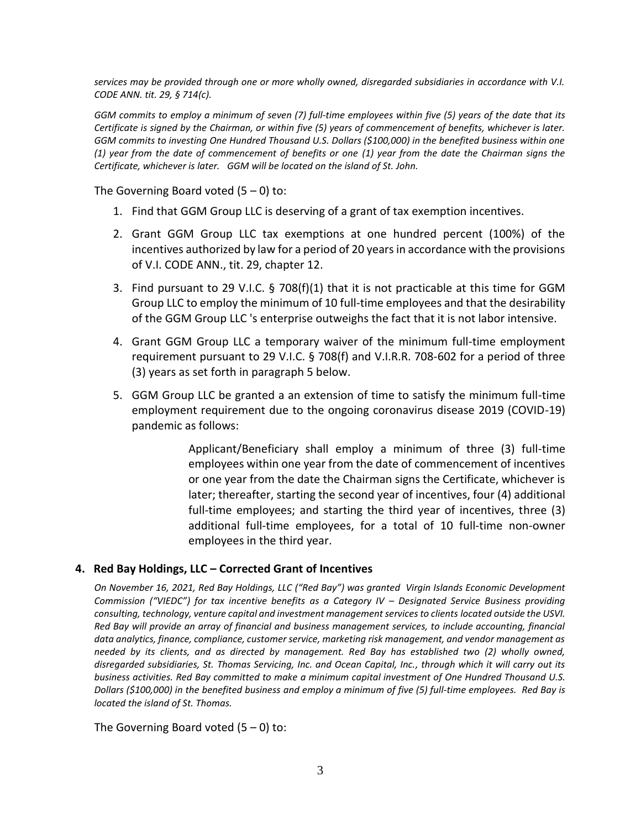*services may be provided through one or more wholly owned, disregarded subsidiaries in accordance with V.I. CODE ANN. tit. 29, § 714(c).*

*GGM commits to employ a minimum of seven (7) full-time employees within five (5) years of the date that its Certificate is signed by the Chairman, or within five (5) years of commencement of benefits, whichever is later. GGM commits to investing One Hundred Thousand U.S. Dollars (\$100,000) in the benefited business within one (1) year from the date of commencement of benefits or one (1) year from the date the Chairman signs the Certificate, whichever is later. GGM will be located on the island of St. John.*

The Governing Board voted  $(5 - 0)$  to:

- 1. Find that GGM Group LLC is deserving of a grant of tax exemption incentives.
- 2. Grant GGM Group LLC tax exemptions at one hundred percent (100%) of the incentives authorized by law for a period of 20 years in accordance with the provisions of V.I. CODE ANN., tit. 29, chapter 12.
- 3. Find pursuant to 29 V.I.C. § 708(f)(1) that it is not practicable at this time for GGM Group LLC to employ the minimum of 10 full-time employees and that the desirability of the GGM Group LLC 's enterprise outweighs the fact that it is not labor intensive.
- 4. Grant GGM Group LLC a temporary waiver of the minimum full-time employment requirement pursuant to 29 V.I.C. § 708(f) and V.I.R.R. 708-602 for a period of three (3) years as set forth in paragraph 5 below.
- 5. GGM Group LLC be granted a an extension of time to satisfy the minimum full-time employment requirement due to the ongoing coronavirus disease 2019 (COVID-19) pandemic as follows:

Applicant/Beneficiary shall employ a minimum of three (3) full-time employees within one year from the date of commencement of incentives or one year from the date the Chairman signs the Certificate, whichever is later; thereafter, starting the second year of incentives, four (4) additional full-time employees; and starting the third year of incentives, three (3) additional full-time employees, for a total of 10 full-time non-owner employees in the third year.

## **4. Red Bay Holdings, LLC – Corrected Grant of Incentives**

*On November 16, 2021, Red Bay Holdings, LLC ("Red Bay") was granted Virgin Islands Economic Development Commission ("VIEDC") for tax incentive benefits as a Category IV – Designated Service Business providing consulting, technology, venture capital and investment management services to clients located outside the USVI. Red Bay will provide an array of financial and business management services, to include accounting, financial data analytics, finance, compliance, customer service, marketing risk management, and vendor management as needed by its clients, and as directed by management. Red Bay has established two (2) wholly owned, disregarded subsidiaries, St. Thomas Servicing, Inc. and Ocean Capital, Inc., through which it will carry out its business activities. Red Bay committed to make a minimum capital investment of One Hundred Thousand U.S. Dollars (\$100,000) in the benefited business and employ a minimum of five (5) full-time employees. Red Bay is located the island of St. Thomas.*

The Governing Board voted  $(5 - 0)$  to: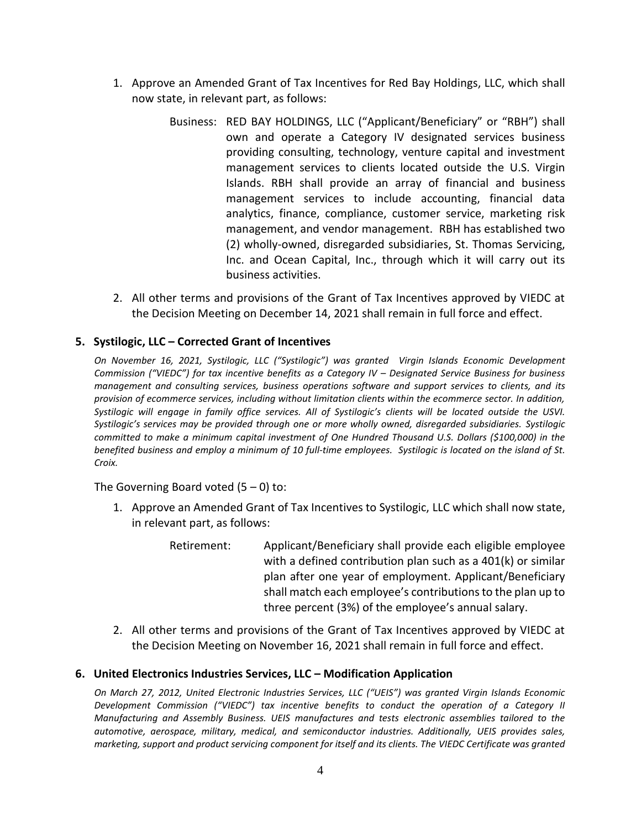- 1. Approve an Amended Grant of Tax Incentives for Red Bay Holdings, LLC, which shall now state, in relevant part, as follows:
	- Business: RED BAY HOLDINGS, LLC ("Applicant/Beneficiary" or "RBH") shall own and operate a Category IV designated services business providing consulting, technology, venture capital and investment management services to clients located outside the U.S. Virgin Islands. RBH shall provide an array of financial and business management services to include accounting, financial data analytics, finance, compliance, customer service, marketing risk management, and vendor management. RBH has established two (2) wholly-owned, disregarded subsidiaries, St. Thomas Servicing, Inc. and Ocean Capital, Inc., through which it will carry out its business activities.
- 2. All other terms and provisions of the Grant of Tax Incentives approved by VIEDC at the Decision Meeting on December 14, 2021 shall remain in full force and effect.

# **5. Systilogic, LLC – Corrected Grant of Incentives**

*On November 16, 2021, Systilogic, LLC ("Systilogic") was granted Virgin Islands Economic Development Commission ("VIEDC") for tax incentive benefits as a Category IV – Designated Service Business for business management and consulting services, business operations software and support services to clients, and its provision of ecommerce services, including without limitation clients within the ecommerce sector. In addition, Systilogic will engage in family office services. All of Systilogic's clients will be located outside the USVI. Systilogic's services may be provided through one or more wholly owned, disregarded subsidiaries. Systilogic committed to make a minimum capital investment of One Hundred Thousand U.S. Dollars (\$100,000) in the benefited business and employ a minimum of 10 full-time employees. Systilogic is located on the island of St. Croix.*

The Governing Board voted  $(5 - 0)$  to:

- 1. Approve an Amended Grant of Tax Incentives to Systilogic, LLC which shall now state, in relevant part, as follows:
	- Retirement: Applicant/Beneficiary shall provide each eligible employee with a defined contribution plan such as a 401(k) or similar plan after one year of employment. Applicant/Beneficiary shall match each employee's contributions to the plan up to three percent (3%) of the employee's annual salary.
- 2. All other terms and provisions of the Grant of Tax Incentives approved by VIEDC at the Decision Meeting on November 16, 2021 shall remain in full force and effect.

## **6. United Electronics Industries Services, LLC – Modification Application**

*On March 27, 2012, United Electronic Industries Services, LLC ("UEIS") was granted Virgin Islands Economic Development Commission ("VIEDC") tax incentive benefits to conduct the operation of a Category II Manufacturing and Assembly Business. UEIS manufactures and tests electronic assemblies tailored to the automotive, aerospace, military, medical, and semiconductor industries. Additionally, UEIS provides sales,*  marketing, support and product servicing component for itself and its clients. The VIEDC Certificate was granted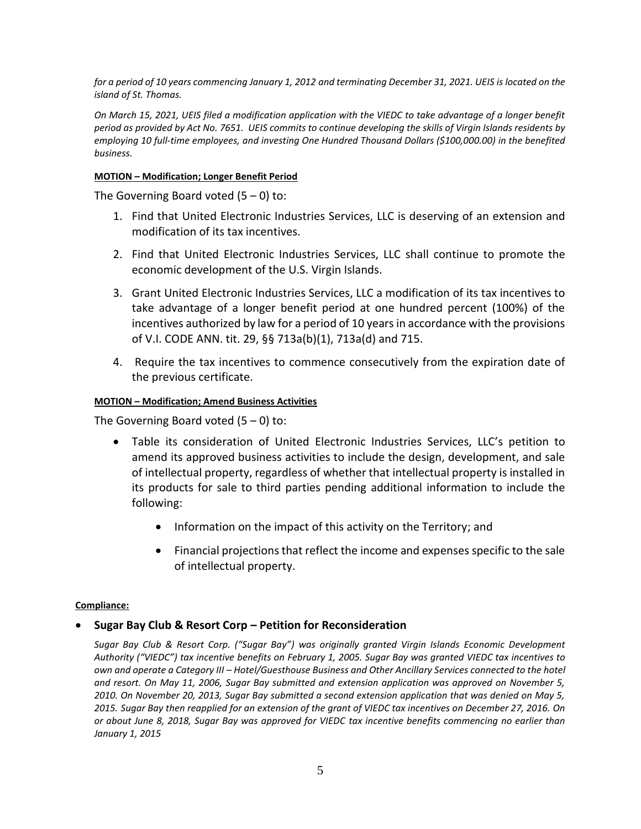*for a period of 10 years commencing January 1, 2012 and terminating December 31, 2021. UEIS is located on the island of St. Thomas.*

*On March 15, 2021, UEIS filed a modification application with the VIEDC to take advantage of a longer benefit period as provided by Act No. 7651. UEIS commits to continue developing the skills of Virgin Islands residents by employing 10 full-time employees, and investing One Hundred Thousand Dollars (\$100,000.00) in the benefited business.*

#### **MOTION – Modification; Longer Benefit Period**

The Governing Board voted  $(5 - 0)$  to:

- 1. Find that United Electronic Industries Services, LLC is deserving of an extension and modification of its tax incentives.
- 2. Find that United Electronic Industries Services, LLC shall continue to promote the economic development of the U.S. Virgin Islands.
- 3. Grant United Electronic Industries Services, LLC a modification of its tax incentives to take advantage of a longer benefit period at one hundred percent (100%) of the incentives authorized by law for a period of 10 years in accordance with the provisions of V.I. CODE ANN. tit. 29, §§ 713a(b)(1), 713a(d) and 715.
- 4. Require the tax incentives to commence consecutively from the expiration date of the previous certificate.

### **MOTION – Modification; Amend Business Activities**

The Governing Board voted  $(5 - 0)$  to:

- Table its consideration of United Electronic Industries Services, LLC's petition to amend its approved business activities to include the design, development, and sale of intellectual property, regardless of whether that intellectual property is installed in its products for sale to third parties pending additional information to include the following:
	- Information on the impact of this activity on the Territory; and
	- Financial projections that reflect the income and expenses specific to the sale of intellectual property.

#### **Compliance:**

## **Sugar Bay Club & Resort Corp – Petition for Reconsideration**

*Sugar Bay Club & Resort Corp. ("Sugar Bay") was originally granted Virgin Islands Economic Development Authority ("VIEDC") tax incentive benefits on February 1, 2005. Sugar Bay was granted VIEDC tax incentives to own and operate a Category III – Hotel/Guesthouse Business and Other Ancillary Services connected to the hotel and resort. On May 11, 2006, Sugar Bay submitted and extension application was approved on November 5, 2010. On November 20, 2013, Sugar Bay submitted a second extension application that was denied on May 5, 2015. Sugar Bay then reapplied for an extension of the grant of VIEDC tax incentives on December 27, 2016. On or about June 8, 2018, Sugar Bay was approved for VIEDC tax incentive benefits commencing no earlier than January 1, 2015*